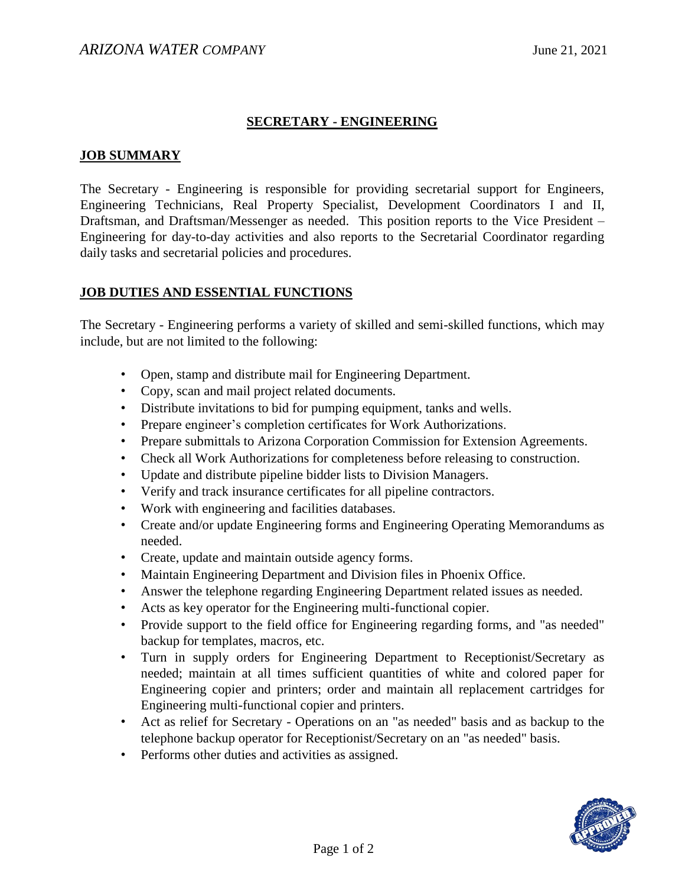## **SECRETARY - ENGINEERING**

#### **JOB SUMMARY**

The Secretary - Engineering is responsible for providing secretarial support for Engineers, Engineering Technicians, Real Property Specialist, Development Coordinators I and II, Draftsman, and Draftsman/Messenger as needed. This position reports to the Vice President – Engineering for day-to-day activities and also reports to the Secretarial Coordinator regarding daily tasks and secretarial policies and procedures.

### **JOB DUTIES AND ESSENTIAL FUNCTIONS**

The Secretary - Engineering performs a variety of skilled and semi-skilled functions, which may include, but are not limited to the following:

- Open, stamp and distribute mail for Engineering Department.
- Copy, scan and mail project related documents.
- Distribute invitations to bid for pumping equipment, tanks and wells.
- Prepare engineer's completion certificates for Work Authorizations.
- Prepare submittals to Arizona Corporation Commission for Extension Agreements.
- Check all Work Authorizations for completeness before releasing to construction.
- Update and distribute pipeline bidder lists to Division Managers.
- Verify and track insurance certificates for all pipeline contractors.
- Work with engineering and facilities databases.
- Create and/or update Engineering forms and Engineering Operating Memorandums as needed.
- Create, update and maintain outside agency forms.
- Maintain Engineering Department and Division files in Phoenix Office.
- Answer the telephone regarding Engineering Department related issues as needed.
- Acts as key operator for the Engineering multi-functional copier.
- Provide support to the field office for Engineering regarding forms, and "as needed" backup for templates, macros, etc.
- Turn in supply orders for Engineering Department to Receptionist/Secretary as needed; maintain at all times sufficient quantities of white and colored paper for Engineering copier and printers; order and maintain all replacement cartridges for Engineering multi-functional copier and printers.
- Act as relief for Secretary Operations on an "as needed" basis and as backup to the telephone backup operator for Receptionist/Secretary on an "as needed" basis.
- Performs other duties and activities as assigned.